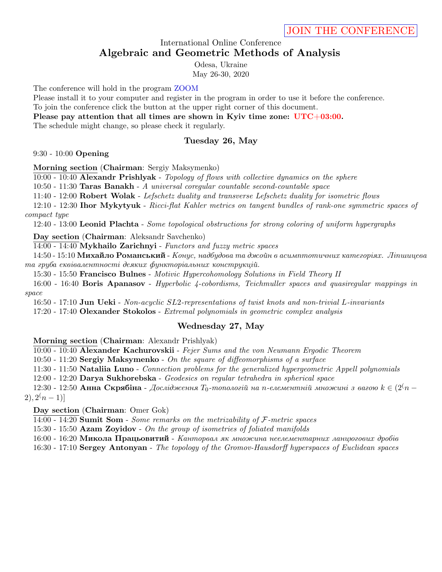## International Online Conference **Algebraic and Geometric Methods of Analysis**

Odesa, Ukraine May 26-30, 2020

The conference will hold in the program [ZOOM](https://zoom.us)

Please install it to your computer and register in the program in order to use it before the conference.

To join the conference click the button at the upper right corner of this document.

**Please pay attention that all times are shown in Kyiv time zone: UTC+03:00.**

The schedule might change, so please check it regularly.

## **Tuesday 26, May**

9:30 - 10:00 **Opening**

**Morning section** (**Chairman**: Sergiy Maksymenko)

10:00 - 10:40 **Alexandr Prishlyak** - *Topology of flows with collective dynamics on the sphere*

10:50 - 11:30 **Taras Banakh** - *A universal coregular countable second-countable space*

11:40 - 12:00 **Robert Wolak** - *Lefschetz duality and transverse Lefschetz duality for isometric flows*

12:10 - 12:30 **Ihor Mykytyuk** - *Ricci-flat Kahler metrics on tangent bundles of rank-one symmetric spaces of compact type*

12:40 - 13:00 **Leonid Plachta** - *Some topological obstructions for strong coloring of uniform hypergraphs*

**Day section** (**Chairman**: Aleksandr Savchenko)

14:00 - 14:40 **Mykhailo Zarichnyi** - *Functors and fuzzy metric spaces*

14:50 - 15:10 **Михайло Романський** - *Конус, надбудова та джойн в асимптотичних категорiях. Лiпшицева та груба еквiвалентностi деяких функторiальних конструкцiй.*

15:30 - 15:50 **Francisco Bulnes** - *Motivic Hypercohomology Solutions in Field Theory II*

16:00 - 16:40 **Boris Apanasov** - *Hyperbolic 4-cobordisms, Teichmuller spaces and quasiregular mappings in space*

16:50 - 17:10 **Jun Ueki** - *Non-acyclic SL*2*-representations of twist knots and non-trivial L-invariants* 17:20 - 17:40 **Olexander Stokolos** - *Extremal polynomials in geometric complex analysis*

# **Wednesday 27, May**

**Morning section** (**Chairman**: Alexandr Prishlyak)

10:00 - 10:40 **Alexander Kachurovskii** - *Fejer Sums and the von Neumann Ergodic Theorem*

10:50 - 11:20 **Sergiy Maksymenko** - *On the square of diffeomorphisms of a surface*

11:30 - 11:50 **Nataliia Luno** - *Connection problems for the generalized hypergeometric Appell polynomials*

12:00 - 12:20 **Darya Sukhorebska** - *Geodesics on regular tetrahedra in spherical space*

12:30 - 12:50 **Анна Скрябіна** - Дослідження  $T_0$ -топологій на п-елементній множині з вагою  $k \in (2^{\binom{m}{2}} - 1)$  $2, 2(n-1)$ 

### **Day section** (**Chairman**: Omer Gok)

14:00 - 14:20 **Sumit Som** - *Some remarks on the metrizability of F-metric spaces*

15:30 - 15:50 **Azam Zoyidov** - *On the group of isometries of foliated manifolds*

16:00 - 16:20 **Микола Працьовитий** - *Канторвал як множина неелементарних ланцюгових дробів*

16:30 - 17:10 **Sergey Antonyan** - *The topology of the Gromov-Hausdorff hyperspaces of Euclidean spaces*